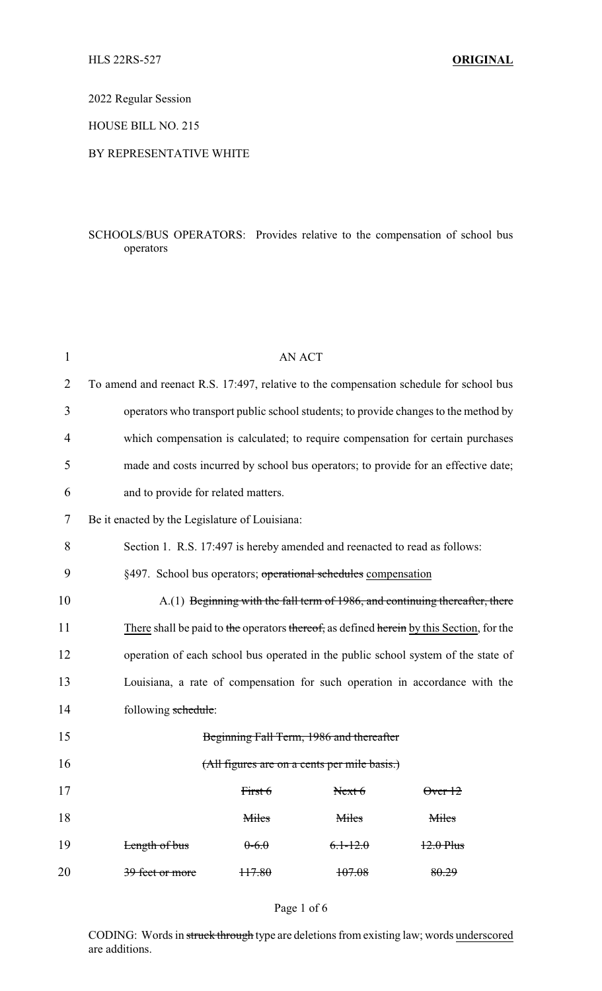2022 Regular Session

HOUSE BILL NO. 215

## BY REPRESENTATIVE WHITE

# SCHOOLS/BUS OPERATORS: Provides relative to the compensation of school bus operators

| $\mathbf{1}$ | <b>AN ACT</b>                                                                            |          |                                              |                   |  |
|--------------|------------------------------------------------------------------------------------------|----------|----------------------------------------------|-------------------|--|
| 2            | To amend and reenact R.S. 17:497, relative to the compensation schedule for school bus   |          |                                              |                   |  |
| 3            | operators who transport public school students; to provide changes to the method by      |          |                                              |                   |  |
| 4            | which compensation is calculated; to require compensation for certain purchases          |          |                                              |                   |  |
| 5            | made and costs incurred by school bus operators; to provide for an effective date;       |          |                                              |                   |  |
| 6            | and to provide for related matters.                                                      |          |                                              |                   |  |
| 7            | Be it enacted by the Legislature of Louisiana:                                           |          |                                              |                   |  |
| 8            | Section 1. R.S. 17:497 is hereby amended and reenacted to read as follows:               |          |                                              |                   |  |
| 9            | §497. School bus operators; operational schedules compensation                           |          |                                              |                   |  |
| 10           | A.(1) Beginning with the fall term of 1986, and continuing thereafter, there             |          |                                              |                   |  |
| 11           | There shall be paid to the operators thereof, as defined herein by this Section, for the |          |                                              |                   |  |
| 12           | operation of each school bus operated in the public school system of the state of        |          |                                              |                   |  |
| 13           | Louisiana, a rate of compensation for such operation in accordance with the              |          |                                              |                   |  |
| 14           | following schedule:                                                                      |          |                                              |                   |  |
| 15           |                                                                                          |          | Beginning Fall Term, 1986 and thereafter     |                   |  |
| 16           |                                                                                          |          | (All figures are on a cents per mile basis.) |                   |  |
| 17           |                                                                                          | First 6  | Next 6                                       | $\theta$ ver $12$ |  |
| 18           |                                                                                          | Miles    | Miles                                        | Miles             |  |
| 19           | Length of bus                                                                            | $0-6.0$  | $6.1 - 12.0$                                 | $12.0$ Plus       |  |
| 20           | 39 feet or more                                                                          | $+17.80$ | 107.08                                       | 80.29             |  |

#### Page 1 of 6

CODING: Words in struck through type are deletions from existing law; words underscored are additions.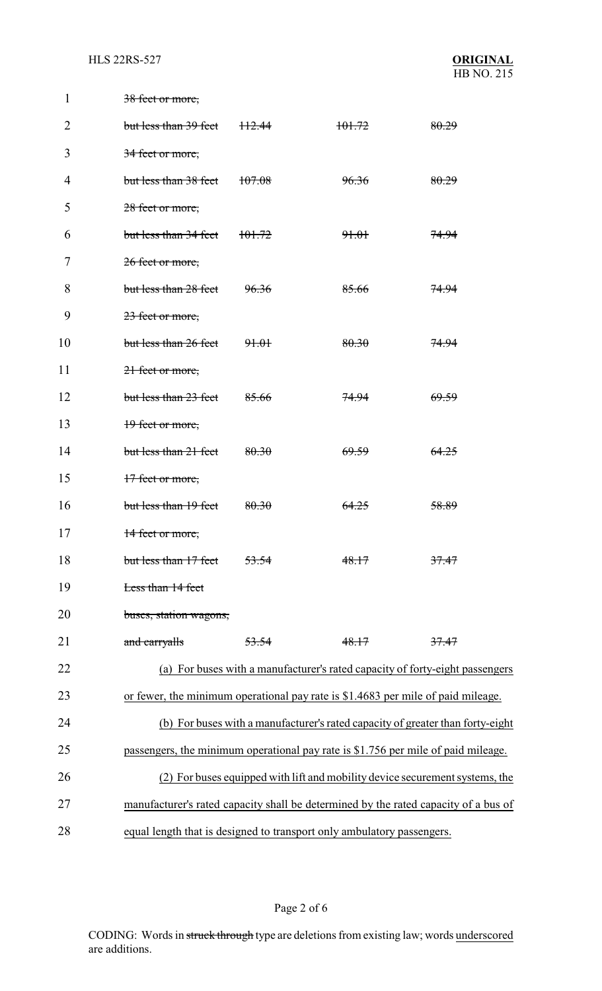**HLS 22RS-527** 

| 1  | 38 feet or more,                                                                    |                                                                              |                                                                                   |                  |  |
|----|-------------------------------------------------------------------------------------|------------------------------------------------------------------------------|-----------------------------------------------------------------------------------|------------------|--|
| 2  | but less than 39 feet                                                               | <del>112.44</del>                                                            | 101.72                                                                            | 80.29            |  |
| 3  | 34 feet or more,                                                                    |                                                                              |                                                                                   |                  |  |
| 4  | but less than 38 feet                                                               | <del>107.08</del>                                                            | 96.36                                                                             | 80.29            |  |
| 5  | 28 feet or more,                                                                    |                                                                              |                                                                                   |                  |  |
| 6  | but less than 34 feet                                                               | <del>101.72</del>                                                            | <del>91.01</del>                                                                  | <del>74.94</del> |  |
| 7  | 26 feet or more,                                                                    |                                                                              |                                                                                   |                  |  |
| 8  | but less than 28 feet                                                               | 96.36                                                                        | 85.66                                                                             | 74.94            |  |
| 9  | 23 feet or more,                                                                    |                                                                              |                                                                                   |                  |  |
| 10 | but less than 26 feet                                                               | 91.01                                                                        | 80.30                                                                             | 74.94            |  |
| 11 | 21 feet or more,                                                                    |                                                                              |                                                                                   |                  |  |
| 12 | but less than 23 feet                                                               | 85.66                                                                        | <del>74.94</del>                                                                  | <del>69.59</del> |  |
| 13 | 19 feet or more,                                                                    |                                                                              |                                                                                   |                  |  |
| 14 | but less than 21 feet                                                               | 80.30                                                                        | 69.59                                                                             | 64.25            |  |
| 15 | 17 feet or more,                                                                    |                                                                              |                                                                                   |                  |  |
| 16 | but less than 19 feet                                                               | 80.30                                                                        | <del>64.25</del>                                                                  | 58.89            |  |
| 17 | 14 feet or more,                                                                    |                                                                              |                                                                                   |                  |  |
| 18 | but less than 17 feet                                                               | 53.54                                                                        | 48.17                                                                             | 37.47            |  |
| 19 | Less than 14 feet                                                                   |                                                                              |                                                                                   |                  |  |
| 20 | buses, station wagons,                                                              |                                                                              |                                                                                   |                  |  |
| 21 | and carryalls                                                                       | 53.54                                                                        | 48.17                                                                             | 37.47            |  |
| 22 |                                                                                     |                                                                              | (a) For buses with a manufacturer's rated capacity of forty-eight passengers      |                  |  |
| 23 |                                                                                     |                                                                              | or fewer, the minimum operational pay rate is \$1.4683 per mile of paid mileage.  |                  |  |
| 24 |                                                                                     |                                                                              | (b) For buses with a manufacturer's rated capacity of greater than forty-eight    |                  |  |
| 25 |                                                                                     |                                                                              | passengers, the minimum operational pay rate is \$1.756 per mile of paid mileage. |                  |  |
| 26 |                                                                                     | (2) For buses equipped with lift and mobility device securement systems, the |                                                                                   |                  |  |
| 27 | manufacturer's rated capacity shall be determined by the rated capacity of a bus of |                                                                              |                                                                                   |                  |  |
| 28 | equal length that is designed to transport only ambulatory passengers.              |                                                                              |                                                                                   |                  |  |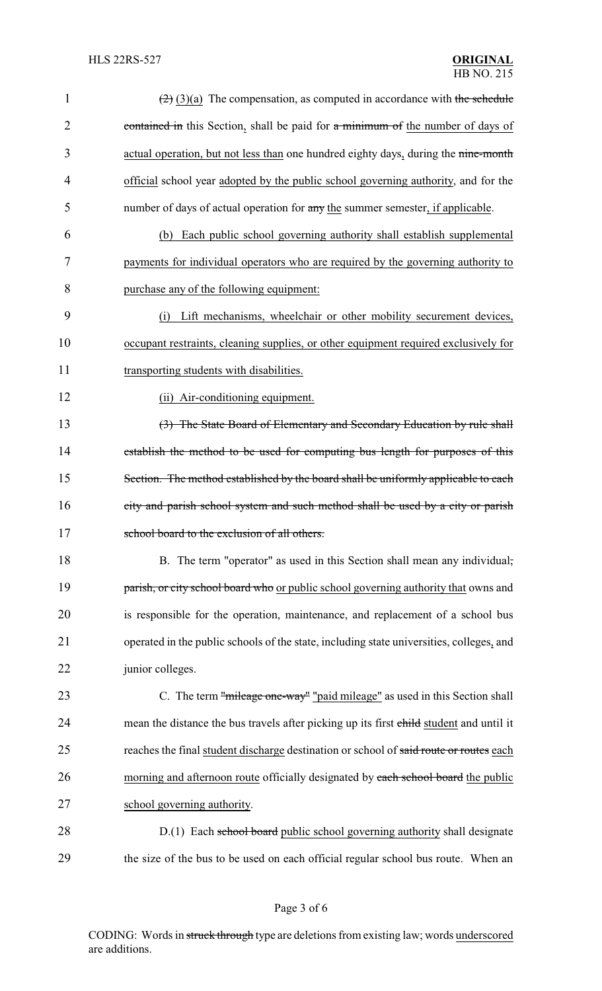| $\mathbf{1}$   | $\left(\frac{2}{2}\right)(3)(a)$ The compensation, as computed in accordance with the schedule |
|----------------|------------------------------------------------------------------------------------------------|
| $\overline{2}$ | contained in this Section, shall be paid for a minimum of the number of days of                |
| 3              | actual operation, but not less than one hundred eighty days, during the nine-month             |
| $\overline{4}$ | official school year adopted by the public school governing authority, and for the             |
| 5              | number of days of actual operation for any the summer semester, if applicable.                 |
| 6              | Each public school governing authority shall establish supplemental<br>(b)                     |
| 7              | payments for individual operators who are required by the governing authority to               |
| 8              | purchase any of the following equipment:                                                       |
| 9              | Lift mechanisms, wheelchair or other mobility securement devices,<br>(i)                       |
| 10             | occupant restraints, cleaning supplies, or other equipment required exclusively for            |
| 11             | transporting students with disabilities.                                                       |
| 12             | (ii) Air-conditioning equipment.                                                               |
| 13             | (3) The State Board of Elementary and Secondary Education by rule shall                        |
| 14             | establish the method to be used for computing bus length for purposes of this                  |
| 15             | Section. The method established by the board shall be uniformly applicable to each             |
| 16             | city and parish school system and such method shall be used by a city or parish                |
| 17             | school board to the exclusion of all others.                                                   |
| 18             | B. The term "operator" as used in this Section shall mean any individual,                      |
| 19             | parish, or city school board who or public school governing authority that owns and            |
| 20             | is responsible for the operation, maintenance, and replacement of a school bus                 |
| 21             | operated in the public schools of the state, including state universities, colleges, and       |
| 22             | junior colleges.                                                                               |
| 23             | C. The term "mileage one-way" "paid mileage" as used in this Section shall                     |
| 24             | mean the distance the bus travels after picking up its first child student and until it        |
| 25             | reaches the final student discharge destination or school of said route or routes each         |
| 26             | morning and afternoon route officially designated by each school board the public              |
| 27             | school governing authority.                                                                    |
| 28             | D.(1) Each school board public school governing authority shall designate                      |
| 29             | the size of the bus to be used on each official regular school bus route. When an              |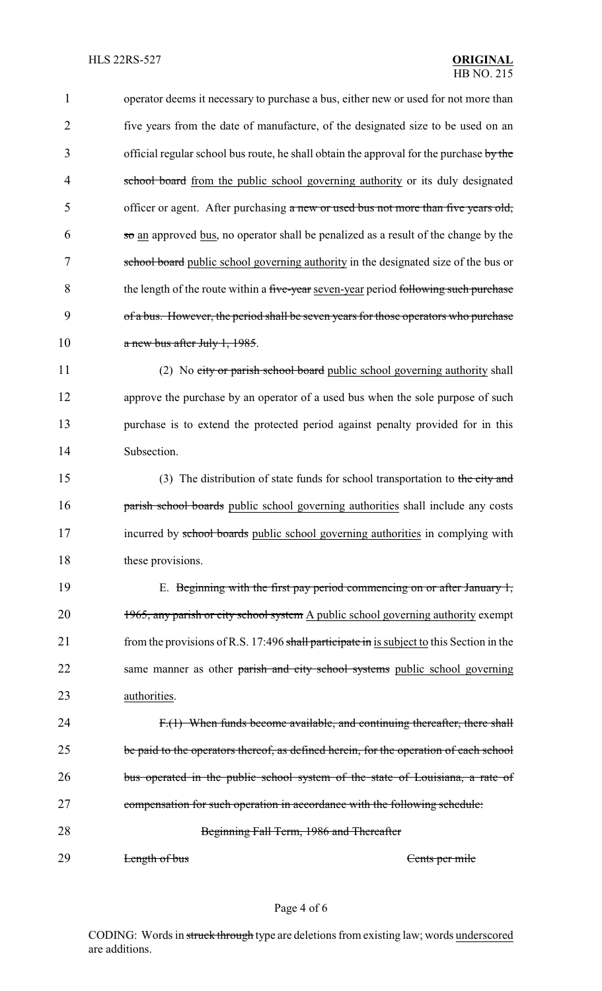1 operator deems it necessary to purchase a bus, either new or used for not more than 2 five years from the date of manufacture, of the designated size to be used on an 3 official regular school bus route, he shall obtain the approval for the purchase by the 4 school board from the public school governing authority or its duly designated 5 officer or agent. After purchasing a new or used bus not more than five years old,  $6 \text{ so an approved bus, no operator shall be penalized as a result of the change by the }$ 7 school board public school governing authority in the designated size of the bus or 8 the length of the route within a five-year seven-year period following such purchase 9 of a bus. However, the period shall be seven years for those operators who purchase 10 a new bus after July 1, 1985. 11 (2) No city or parish school board public school governing authority shall 12 approve the purchase by an operator of a used bus when the sole purpose of such 13 purchase is to extend the protected period against penalty provided for in this 14 Subsection. 15 (3) The distribution of state funds for school transportation to the city and 16 **parish school boards** public school governing authorities shall include any costs 17 incurred by school boards public school governing authorities in complying with 18 these provisions. 19 E. Beginning with the first pay period commencing on or after January 1, 20 1965, any parish or city school system A public school governing authority exempt 21 from the provisions of R.S. 17:496 shall participate in is subject to this Section in the 22 same manner as other parish and city school systems public school governing 23 **authorities**. 24 F.(1) When funds become available, and continuing thereafter, there shall 25 be paid to the operators thereof, as defined herein, for the operation of each school 26 bus operated in the public school system of the state of Louisiana, a rate of 27 compensation for such operation in accordance with the following schedule: 28 Beginning Fall Term, 1986 and Thereafter 29 Length of bus Cents per mile

#### Page 4 of 6

CODING: Words in struck through type are deletions from existing law; words underscored are additions.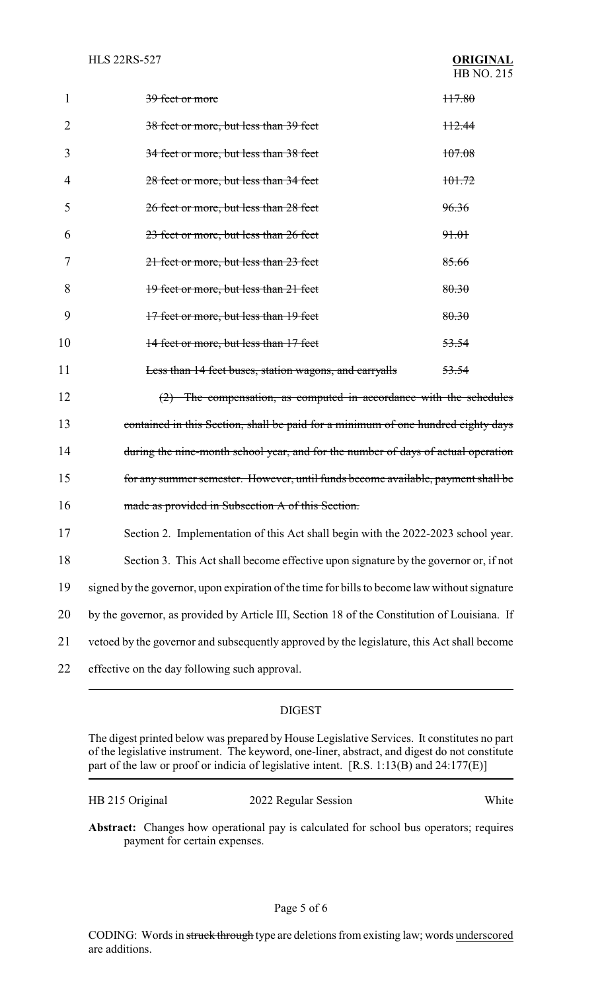|    | 39 feet or more                                               | 117.80           |
|----|---------------------------------------------------------------|------------------|
|    | 38 feet or more, but less than 39 feet                        | $+12.44$         |
| 3  | 34 feet or more, but less than 38 feet                        | 107.08           |
|    | 28 feet or more, but less than 34 feet                        | 101.72           |
| 5  | 26 feet or more, but less than 28 feet                        | 96.36            |
| 6  | 23 feet or more, but less than 26 feet                        | <del>91.01</del> |
|    | 21 feet or more, but less than 23 feet                        | 85.66            |
| 8  | 19 feet or more, but less than 21 feet                        | 80.30            |
| 9  | 17 feet or more, but less than 19 feet                        | 80.30            |
| 10 | 14 feet or more, but less than 17 feet                        | <del>53.54</del> |
| 11 | <b>Less than 14 feet buses, station wagons, and carryalls</b> | <del>53.54</del> |

12 (2) The compensation, as computed in accordance with the schedules 13 contained in this Section, shall be paid for a minimum of one hundred eighty days 14 during the nine-month school year, and for the number of days of actual operation 15 for any summer semester. However, until funds become available, payment shall be 16 made as provided in Subsection A of this Section.

- 17 Section 2. Implementation of this Act shall begin with the 2022-2023 school year.
- 18 Section 3. This Act shall become effective upon signature by the governor or, if not
- 19 signed by the governor, upon expiration of the time for bills to become law without signature
- 20 by the governor, as provided by Article III, Section 18 of the Constitution of Louisiana. If
- 21 vetoed by the governor and subsequently approved by the legislature, this Act shall become
- 22 effective on the day following such approval.

## DIGEST

The digest printed below was prepared by House Legislative Services. It constitutes no part of the legislative instrument. The keyword, one-liner, abstract, and digest do not constitute part of the law or proof or indicia of legislative intent. [R.S. 1:13(B) and 24:177(E)]

|  | HB 215 Original |
|--|-----------------|
|--|-----------------|

2022 Regular Session White

**Abstract:** Changes how operational pay is calculated for school bus operators; requires payment for certain expenses.